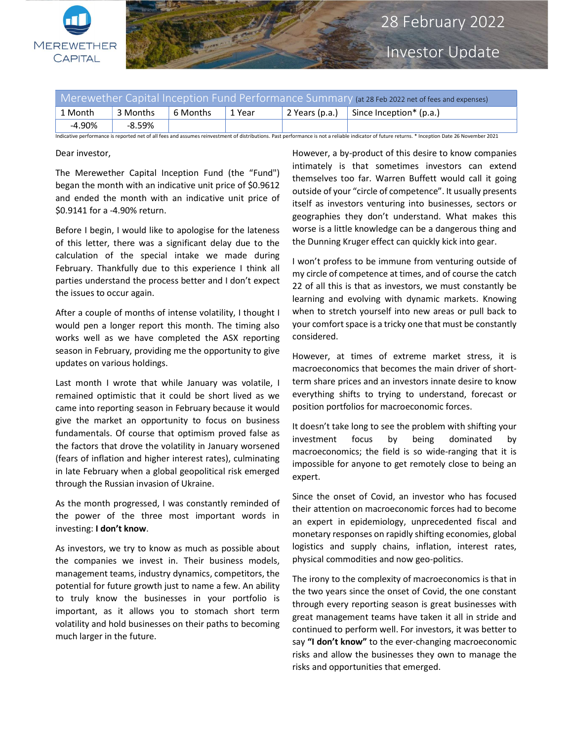

Investor Update

| Merewether Capital Inception Fund Performance Summary (at 28 Feb 2022 net of fees and expenses)                                                                                                 |          |          |        |                |                            |
|-------------------------------------------------------------------------------------------------------------------------------------------------------------------------------------------------|----------|----------|--------|----------------|----------------------------|
| ่ 1 Month                                                                                                                                                                                       | 3 Months | 6 Months | 1 Year | 2 Years (p.a.) | Since Inception $*$ (p.a.) |
| $-4.90\%$                                                                                                                                                                                       | -8.59%   |          |        |                |                            |
| Indicative performance is reported net of all fees and assumes reinvestment of distributions. Past performance is not a reliable indicator of future returns, * Inception Date 26 November 2021 |          |          |        |                |                            |

Dear investor,

The Merewether Capital Inception Fund (the "Fund") began the month with an indicative unit price of \$0.9612 and ended the month with an indicative unit price of \$0.9141 for a -4.90% return.

Before I begin, I would like to apologise for the lateness of this letter, there was a significant delay due to the calculation of the special intake we made during February. Thankfully due to this experience I think all parties understand the process better and I don't expect the issues to occur again.

After a couple of months of intense volatility, I thought I would pen a longer report this month. The timing also works well as we have completed the ASX reporting season in February, providing me the opportunity to give updates on various holdings.

Last month I wrote that while January was volatile, I remained optimistic that it could be short lived as we came into reporting season in February because it would give the market an opportunity to focus on business fundamentals. Of course that optimism proved false as the factors that drove the volatility in January worsened (fears of inflation and higher interest rates), culminating in late February when a global geopolitical risk emerged through the Russian invasion of Ukraine.

As the month progressed, I was constantly reminded of the power of the three most important words in investing: I don't know.

As investors, we try to know as much as possible about the companies we invest in. Their business models, management teams, industry dynamics, competitors, the potential for future growth just to name a few. An ability to truly know the businesses in your portfolio is important, as it allows you to stomach short term volatility and hold businesses on their paths to becoming much larger in the future.

However, a by-product of this desire to know companies intimately is that sometimes investors can extend themselves too far. Warren Buffett would call it going outside of your "circle of competence". It usually presents itself as investors venturing into businesses, sectors or geographies they don't understand. What makes this worse is a little knowledge can be a dangerous thing and the Dunning Kruger effect can quickly kick into gear.

I won't profess to be immune from venturing outside of my circle of competence at times, and of course the catch 22 of all this is that as investors, we must constantly be learning and evolving with dynamic markets. Knowing when to stretch yourself into new areas or pull back to your comfort space is a tricky one that must be constantly considered.

However, at times of extreme market stress, it is macroeconomics that becomes the main driver of shortterm share prices and an investors innate desire to know everything shifts to trying to understand, forecast or position portfolios for macroeconomic forces.

It doesn't take long to see the problem with shifting your investment focus by being dominated by macroeconomics; the field is so wide-ranging that it is impossible for anyone to get remotely close to being an expert.

Since the onset of Covid, an investor who has focused their attention on macroeconomic forces had to become an expert in epidemiology, unprecedented fiscal and monetary responses on rapidly shifting economies, global logistics and supply chains, inflation, interest rates, physical commodities and now geo-politics.

The irony to the complexity of macroeconomics is that in the two years since the onset of Covid, the one constant through every reporting season is great businesses with great management teams have taken it all in stride and continued to perform well. For investors, it was better to say "I don't know" to the ever-changing macroeconomic risks and allow the businesses they own to manage the risks and opportunities that emerged.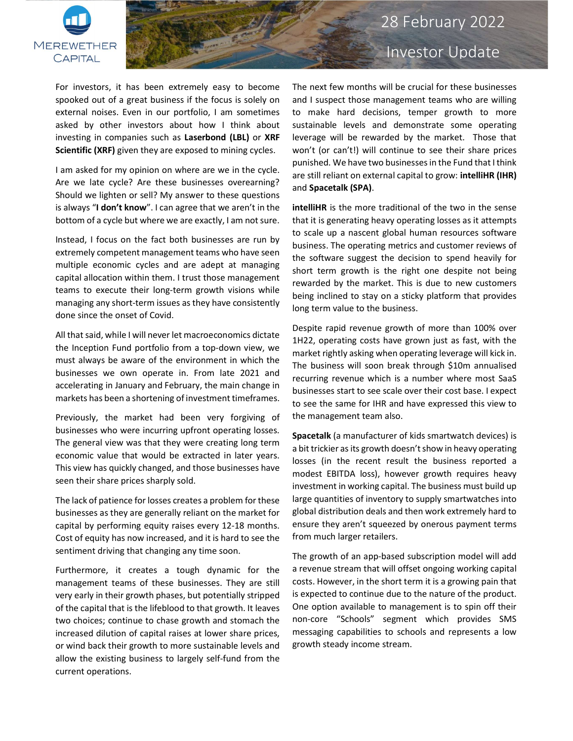

## 28 February 2022

For investors, it has been extremely easy to become spooked out of a great business if the focus is solely on external noises. Even in our portfolio, I am sometimes asked by other investors about how I think about investing in companies such as Laserbond (LBL) or XRF Scientific (XRF) given they are exposed to mining cycles.

I am asked for my opinion on where are we in the cycle. Are we late cycle? Are these businesses overearning? Should we lighten or sell? My answer to these questions is always "I don't know". I can agree that we aren't in the bottom of a cycle but where we are exactly, I am not sure.

Instead, I focus on the fact both businesses are run by extremely competent management teams who have seen multiple economic cycles and are adept at managing capital allocation within them. I trust those management teams to execute their long-term growth visions while managing any short-term issues as they have consistently done since the onset of Covid.

All that said, while I will never let macroeconomics dictate the Inception Fund portfolio from a top-down view, we must always be aware of the environment in which the businesses we own operate in. From late 2021 and accelerating in January and February, the main change in markets has been a shortening of investment timeframes.

Previously, the market had been very forgiving of businesses who were incurring upfront operating losses. The general view was that they were creating long term economic value that would be extracted in later years. This view has quickly changed, and those businesses have seen their share prices sharply sold.

The lack of patience for losses creates a problem for these businesses as they are generally reliant on the market for capital by performing equity raises every 12-18 months. Cost of equity has now increased, and it is hard to see the sentiment driving that changing any time soon.

Furthermore, it creates a tough dynamic for the management teams of these businesses. They are still very early in their growth phases, but potentially stripped of the capital that is the lifeblood to that growth. It leaves two choices; continue to chase growth and stomach the increased dilution of capital raises at lower share prices, or wind back their growth to more sustainable levels and allow the existing business to largely self-fund from the current operations.

# Investor Update

The next few months will be crucial for these businesses and I suspect those management teams who are willing to make hard decisions, temper growth to more sustainable levels and demonstrate some operating leverage will be rewarded by the market. Those that won't (or can't!) will continue to see their share prices punished. We have two businesses in the Fund that I think are still reliant on external capital to grow: intelliHR (IHR) and Spacetalk (SPA).

intelliHR is the more traditional of the two in the sense that it is generating heavy operating losses as it attempts to scale up a nascent global human resources software business. The operating metrics and customer reviews of the software suggest the decision to spend heavily for short term growth is the right one despite not being rewarded by the market. This is due to new customers being inclined to stay on a sticky platform that provides long term value to the business.

Despite rapid revenue growth of more than 100% over 1H22, operating costs have grown just as fast, with the market rightly asking when operating leverage will kick in. The business will soon break through \$10m annualised recurring revenue which is a number where most SaaS businesses start to see scale over their cost base. I expect to see the same for IHR and have expressed this view to the management team also.

Spacetalk (a manufacturer of kids smartwatch devices) is a bit trickier as its growth doesn't show in heavy operating losses (in the recent result the business reported a modest EBITDA loss), however growth requires heavy investment in working capital. The business must build up large quantities of inventory to supply smartwatches into global distribution deals and then work extremely hard to ensure they aren't squeezed by onerous payment terms from much larger retailers.

The growth of an app-based subscription model will add a revenue stream that will offset ongoing working capital costs. However, in the short term it is a growing pain that is expected to continue due to the nature of the product. One option available to management is to spin off their non-core "Schools" segment which provides SMS messaging capabilities to schools and represents a low growth steady income stream.